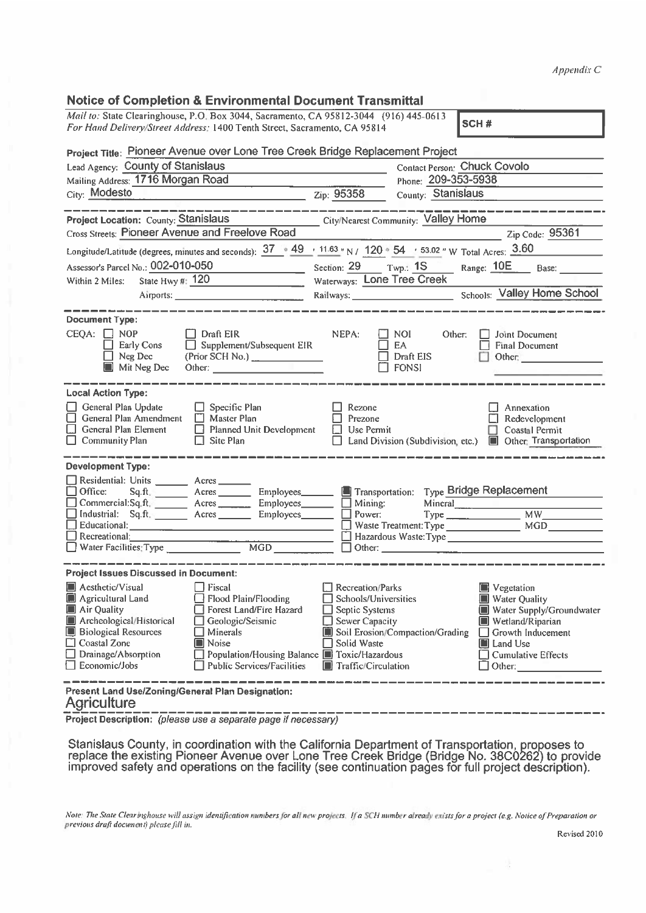## Notice of Completion & Environmental Document Transmittal

|                                                                                                                                                                                                                                                                                                                                                                                                                                | Appendix C                                                                                                                                                                                                                                                                                                                                              |  |  |  |
|--------------------------------------------------------------------------------------------------------------------------------------------------------------------------------------------------------------------------------------------------------------------------------------------------------------------------------------------------------------------------------------------------------------------------------|---------------------------------------------------------------------------------------------------------------------------------------------------------------------------------------------------------------------------------------------------------------------------------------------------------------------------------------------------------|--|--|--|
| <b>Notice of Completion &amp; Environmental Document Transmittal</b>                                                                                                                                                                                                                                                                                                                                                           |                                                                                                                                                                                                                                                                                                                                                         |  |  |  |
| Mail to: State Clearinghouse, P.O. Box 3044, Sacramento, CA 95812-3044 (916) 445-0613                                                                                                                                                                                                                                                                                                                                          | SCH#                                                                                                                                                                                                                                                                                                                                                    |  |  |  |
| For Hand Delivery/Street Address: 1400 Tenth Street, Sacramento, CA 95814                                                                                                                                                                                                                                                                                                                                                      |                                                                                                                                                                                                                                                                                                                                                         |  |  |  |
| Project Title: Pioneer Avenue over Lone Tree Creek Bridge Replacement Project                                                                                                                                                                                                                                                                                                                                                  |                                                                                                                                                                                                                                                                                                                                                         |  |  |  |
| Lead Agency: County of Stanislaus<br>Mailing Address: 1716 Morgan Road                                                                                                                                                                                                                                                                                                                                                         | Contact Person: Chuck Covolo<br>Phone: 209-353-5938                                                                                                                                                                                                                                                                                                     |  |  |  |
| City: Modesto                                                                                                                                                                                                                                                                                                                                                                                                                  | Zip: 95358<br>County: Stanislaus                                                                                                                                                                                                                                                                                                                        |  |  |  |
|                                                                                                                                                                                                                                                                                                                                                                                                                                |                                                                                                                                                                                                                                                                                                                                                         |  |  |  |
| <b>Project Location: County: Stanislaus</b>                                                                                                                                                                                                                                                                                                                                                                                    | City/Nearest Community: Valley Home                                                                                                                                                                                                                                                                                                                     |  |  |  |
| <b>Cross Streets: Pioneer Avenue and Freelove Road</b>                                                                                                                                                                                                                                                                                                                                                                         | Zip Code: 95361                                                                                                                                                                                                                                                                                                                                         |  |  |  |
| Longitude/Latitude (degrees, minutes and seconds): $\frac{37}{169}$ $\frac{49}{11.63}$ N/ $\frac{120}{120}$ 54 $\frac{53.02}{169}$ W Total Acres: $\frac{3.60}{160}$                                                                                                                                                                                                                                                           |                                                                                                                                                                                                                                                                                                                                                         |  |  |  |
| Assessor's Parcel No.: 002-010-050                                                                                                                                                                                                                                                                                                                                                                                             | Section: 29 Twp.: 1S Range: 10E<br>Base:                                                                                                                                                                                                                                                                                                                |  |  |  |
| State Hwy #: $120$<br>Within 2 Miles:                                                                                                                                                                                                                                                                                                                                                                                          | Waterways: Lone Tree Creek                                                                                                                                                                                                                                                                                                                              |  |  |  |
| Airports: 1996. [19] Airports: 1996. [19] Airports: 1996. [19] Airports: 1996. [19] Airports: 1996. [19] Airports: 1996. [19] Airports: 1996. [19] Airports: 1996. [19] Airports: 1996. [19] Airports: 1996. [19] Airports: 19                                                                                                                                                                                                 | <b>Schools:</b> Valley Home School<br>Railways: National Communications                                                                                                                                                                                                                                                                                 |  |  |  |
| <b>Document Type:</b><br>$CEQA: \Box NOP$<br>$\Box$ Draft EIR<br>Early Cons<br>$\Box$ Supplement/Subsequent EIR<br>$\Box$ Neg Dec<br>(Prior SCH No.) _______________<br>Mit Neg Dec<br>Other: and the contract of the contract of the contract of the contract of the contract of the contract of the                                                                                                                          | NEPA:<br>NOI.<br>Other:<br>Joint Document<br>EA<br><b>Final Document</b><br>Draft EIS<br>Other:<br><b>FONSI</b>                                                                                                                                                                                                                                         |  |  |  |
| <b>Local Action Type:</b><br>General Plan Update<br>$\Box$ Specific Plan<br>General Plan Amendment   Master Plan<br>General Plan Element<br>Planned Unit Development<br><b>Community Plan</b><br>$\Box$ Site Plan                                                                                                                                                                                                              | Rezone<br>Annexation<br>Prezone<br>Redevelopment<br>$\Box$ Use Permit<br><b>Coastal Permit</b><br>Other: Transportation<br>Land Division (Subdivision, etc.)                                                                                                                                                                                            |  |  |  |
|                                                                                                                                                                                                                                                                                                                                                                                                                                |                                                                                                                                                                                                                                                                                                                                                         |  |  |  |
| <b>Development Type:</b><br>Residential: Units ________ Acres___<br>Office:<br>Sq.ft.<br>$A$ cres $\_\_\_\_\_\_\_\$<br>Commercial: Sq.ft. ___________ Acres _____________ Employees _________<br>Industrial:<br>Sq.ft. Acres Employees<br>Educational:                                                                                                                                                                         | Type Bridge Replacement<br>$\Box$ Mining:<br>Mineral<br><u>_________________________________</u><br>Power:                                                                                                                                                                                                                                              |  |  |  |
| Recreational:                                                                                                                                                                                                                                                                                                                                                                                                                  | Waste Treatment: Type<br><b>MGD</b>                                                                                                                                                                                                                                                                                                                     |  |  |  |
| $rac{1}{\sqrt{1-\frac{1}{2}}}\frac{1}{\sqrt{1-\frac{1}{2}}}\frac{1}{\sqrt{1-\frac{1}{2}}}\frac{1}{\sqrt{1-\frac{1}{2}}}\frac{1}{\sqrt{1-\frac{1}{2}}}\frac{1}{\sqrt{1-\frac{1}{2}}}\frac{1}{\sqrt{1-\frac{1}{2}}}\frac{1}{\sqrt{1-\frac{1}{2}}}\frac{1}{\sqrt{1-\frac{1}{2}}}\frac{1}{\sqrt{1-\frac{1}{2}}}\frac{1}{\sqrt{1-\frac{1}{2}}}\frac{1}{\sqrt{1-\frac{1}{2}}}\frac{1}{\sqrt{1-\frac{1}{2}}}\frac{1}{\sqrt{1-\frac{1$ |                                                                                                                                                                                                                                                                                                                                                         |  |  |  |
| <u> 1989 - Andrea Andrew Marie Marie III e a pro</u><br><b>Project Issues Discussed in Document:</b>                                                                                                                                                                                                                                                                                                                           |                                                                                                                                                                                                                                                                                                                                                         |  |  |  |
| Aesthetic/Visual<br>$\Box$ Fiscal<br>Agricultural Land<br>Flood Plain/Flooding<br>Air Quality<br>Forest Land/Fire Hazard<br>Archeological/Historical<br>□ Geologic/Seismic<br><b>Biological Resources</b><br>$\Box$ Minerals<br>$\Box$ Coastal Zone<br>I∎ Noise<br>$\Box$ Drainage/Absorption<br>Population/Housing Balance F Toxic/Hazardous<br>Economic/Jobs<br>$\Box$ Public Services/Facilities                            | <b>Recreation/Parks</b><br>Vegetation<br>Schools/Universities<br><b>Water Quality</b><br>$\Box$ Septic Systems<br>Water Supply/Groundwater<br>$\Box$ Sewer Capacity<br>Wetland/Riparian<br>Soil Erosion/Compaction/Grading<br>$\Box$ Growth Inducement<br>Solid Waste<br>I∎ Land Use<br>$\Box$ Cumulative Effects<br>$\blacksquare$ Traffic/Circulation |  |  |  |
| Present Land Use/Zoning/General Plan Designation:<br><b>Agriculture</b>                                                                                                                                                                                                                                                                                                                                                        |                                                                                                                                                                                                                                                                                                                                                         |  |  |  |

Project Description: (p/ease use <sup>a</sup> separate page if necessary)

Stanislaus County, in coordination with the California Department of Transportation, proposes to replace the existing Pioneer Avenue over Lone Tree Creek Bridge (Bridge No. 38C0262) to provide improved safety and operations on the facility (see continuation pages for full project description).

Note: The State Clearinghouse will assign identification numbers for all new projects. If a SCH number already exists for a project (e.g. Notice of Preparation or previous draft document) please fill in.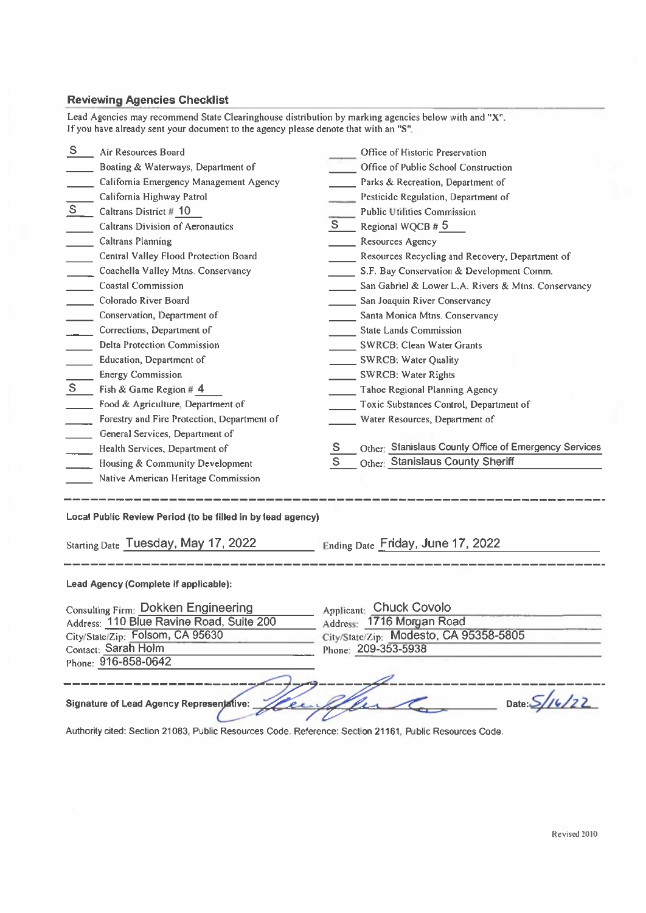## Reviewing Agencies Checklist

|                                                                                                                                      | <b>Reviewing Agencies Checklist</b><br>Lead Agencies may recommend State Clearinghouse distribution by marking agencies below with and "X".<br>If you have already sent your document to the agency please denote that with an "S".                                                                                                                                                                                                                                                                                                                                                                                                                                                                                                                                                    |              |                                                                                                                                                                                                                                                                                                                                                                                                                                                                                                                                                                                                                                                                                                                                                                                                            |  |
|--------------------------------------------------------------------------------------------------------------------------------------|----------------------------------------------------------------------------------------------------------------------------------------------------------------------------------------------------------------------------------------------------------------------------------------------------------------------------------------------------------------------------------------------------------------------------------------------------------------------------------------------------------------------------------------------------------------------------------------------------------------------------------------------------------------------------------------------------------------------------------------------------------------------------------------|--------------|------------------------------------------------------------------------------------------------------------------------------------------------------------------------------------------------------------------------------------------------------------------------------------------------------------------------------------------------------------------------------------------------------------------------------------------------------------------------------------------------------------------------------------------------------------------------------------------------------------------------------------------------------------------------------------------------------------------------------------------------------------------------------------------------------------|--|
| S.<br>S<br>S                                                                                                                         | Air Resources Board<br>Boating & Waterways, Department of<br>California Emergency Management Agency<br>California Highway Patrol<br>Caltrans District # 10<br><b>Caltrans Division of Aeronautics</b><br><b>Caltrans Planning</b><br>Central Valley Flood Protection Board<br>Coachella Valley Mtns. Conservancy<br><b>Coastal Commission</b><br>Colorado River Board<br>Conservation, Department of<br>Corrections, Department of<br>Delta Protection Commission<br>Education, Department of<br><b>Energy Commission</b><br>Fish & Game Region # 4<br>Food & Agriculture, Department of<br>Forestry and Fire Protection, Department of<br>General Services, Department of<br>Health Services, Department of<br>Housing & Community Development<br>Native American Heritage Commission | S.<br>S<br>S | Office of Historic Preservation<br>Office of Public School Construction<br>Parks & Recreation, Department of<br>Pesticide Regulation, Department of<br><b>Public Utilities Commission</b><br>Regional WQCB # 5<br><b>Resources Agency</b><br>Resources Recycling and Recovery, Department of<br>S.F. Bay Conservation & Development Comm.<br>San Gabriel & Lower L.A. Rivers & Mtns. Conservancy<br>San Joaquin River Conservancy<br>Santa Monica Mtns. Conservancy<br><b>State Lands Commission</b><br><b>SWRCB: Clean Water Grants</b><br><b>SWRCB: Water Quality</b><br>SWRCB: Water Rights<br>Tahoe Regional Planning Agency<br>Toxic Substances Control, Department of<br>Water Resources, Department of<br>Other: Stanislaus County Office of Emergency Services<br>Other: Stanislaus County Sheriff |  |
| Local Public Review Period (to be filled in by lead agency)<br>Starting Date Tuesday, May 17, 2022 Ending Date Friday, June 17, 2022 |                                                                                                                                                                                                                                                                                                                                                                                                                                                                                                                                                                                                                                                                                                                                                                                        |              |                                                                                                                                                                                                                                                                                                                                                                                                                                                                                                                                                                                                                                                                                                                                                                                                            |  |
| Lead Agency (Complete if applicable):                                                                                                |                                                                                                                                                                                                                                                                                                                                                                                                                                                                                                                                                                                                                                                                                                                                                                                        |              |                                                                                                                                                                                                                                                                                                                                                                                                                                                                                                                                                                                                                                                                                                                                                                                                            |  |

| <b>Consulting Firm: Dokken Engineering</b> | Applicant: Chuck Covolo                |
|--------------------------------------------|----------------------------------------|
| Address: 110 Blue Ravine Road, Suite 200   | Address: 1716 Morgan Road              |
| City/State/Zip: Folsom, CA 95630           | City/State/Zip: Modesto, CA 95358-5805 |
| Contact: Sarah Holm                        | Phone: 209-353-5938                    |
| Phone: 916-858-0642                        |                                        |
|                                            |                                        |
|                                            |                                        |

Signature of Lead Agency Representative: *Heure Glean Community Date:* 5/16/22 Authority cited: Section 21083, Public Resources Code. Reference: Section 21161, Public Resources Code.